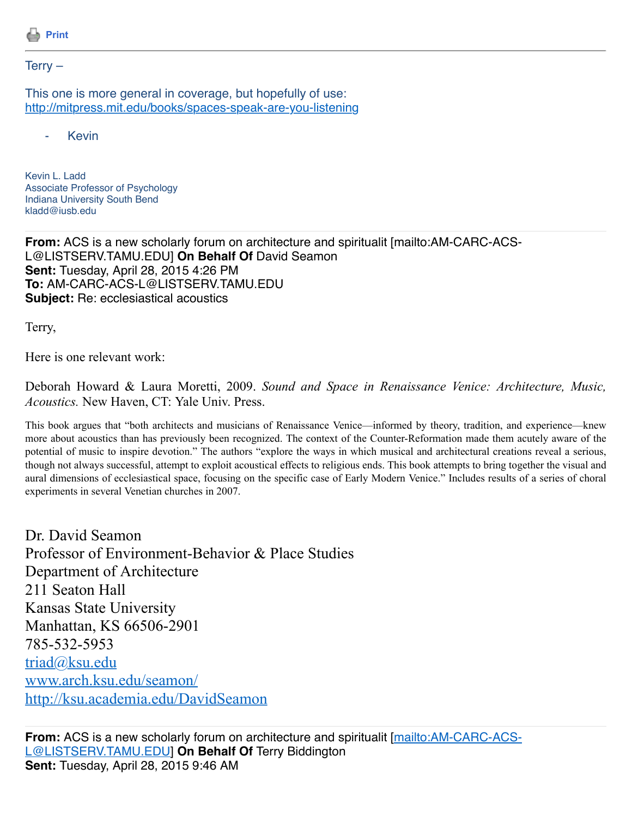

## $Terry -$

This one is more general in coverage, but hopefully of use: <http://mitpress.mit.edu/books/spaces-speak-are-you-listening>

**Kevin** 

Kevin L. Ladd Associate Professor of Psychology Indiana University South Bend kladd@iusb.edu

**From:** ACS is a new scholarly forum on architecture and spiritualit [mailto:AM-CARC-ACS-L@LISTSERV.TAMU.EDU] **On Behalf Of** David Seamon **Sent:** Tuesday, April 28, 2015 4:26 PM **To:** AM-CARC-ACS-L@LISTSERV.TAMU.EDU **Subject:** Re: ecclesiastical acoustics

Terry,

Here is one relevant work:

Deborah Howard & Laura Moretti, 2009. *Sound and Space in Renaissance Venice: Architecture, Music, Acoustics.* New Haven, CT: Yale Univ. Press.

This book argues that "both architects and musicians of Renaissance Venice—informed by theory, tradition, and experience—knew more about acoustics than has previously been recognized. The context of the Counter-Reformation made them acutely aware of the potential of music to inspire devotion." The authors "explore the ways in which musical and architectural creations reveal a serious, though not always successful, attempt to exploit acoustical effects to religious ends. This book attempts to bring together the visual and aural dimensions of ecclesiastical space, focusing on the specific case of Early Modern Venice." Includes results of a series of choral experiments in several Venetian churches in 2007.

Dr. David Seamon Professor of Environment-Behavior & Place Studies Department of Architecture 211 Seaton Hall Kansas State University Manhattan, KS 66506-2901 785-532-5953 [triad@ksu.edu](mailto:triad@ksu.edu) [www.arch.ksu.edu/seamon/](http://www.arch.ksu.edu/seamon/) <http://ksu.academia.edu/DavidSeamon>